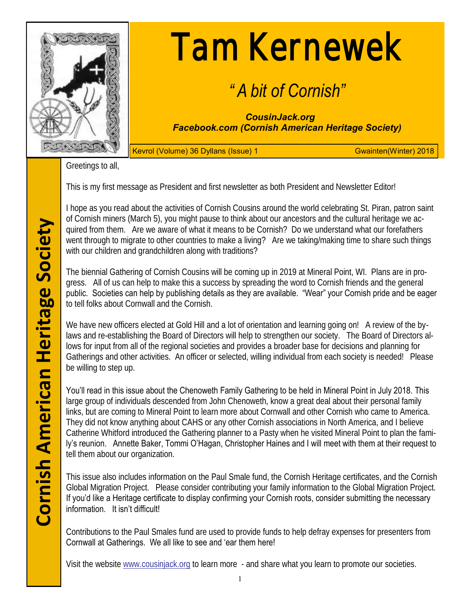

# Tam Kernewek

# *" A bit of Cornish"*

*CousinJack.org Facebook.com (Cornish American Heritage Society)*

Kevrol (Volume) 36 Dyllans (Issue) 1 Gwainten(Winter) 2018

Greetings to all,

This is my first message as President and first newsletter as both President and Newsletter Editor!

I hope as you read about the activities of Cornish Cousins around the world celebrating St. Piran, patron saint of Cornish miners (March 5), you might pause to think about our ancestors and the cultural heritage we acquired from them. Are we aware of what it means to be Cornish? Do we understand what our forefathers went through to migrate to other countries to make a living? Are we taking/making time to share such things with our children and grandchildren along with traditions?

The biennial Gathering of Cornish Cousins will be coming up in 2019 at Mineral Point, WI. Plans are in progress. All of us can help to make this a success by spreading the word to Cornish friends and the general public. Societies can help by publishing details as they are available. "Wear" your Cornish pride and be eager to tell folks about Cornwall and the Cornish.

We have new officers elected at Gold Hill and a lot of orientation and learning going on! A review of the bylaws and re-establishing the Board of Directors will help to strengthen our society. The Board of Directors allows for input from all of the regional societies and provides a broader base for decisions and planning for Gatherings and other activities. An officer or selected, willing individual from each society is needed! Please be willing to step up.

You'll read in this issue about the Chenoweth Family Gathering to be held in Mineral Point in July 2018. This large group of individuals descended from John Chenoweth, know a great deal about their personal family links, but are coming to Mineral Point to learn more about Cornwall and other Cornish who came to America. They did not know anything about CAHS or any other Cornish associations in North America, and I believe Catherine Whitford introduced the Gathering planner to a Pasty when he visited Mineral Point to plan the family's reunion. Annette Baker, Tommi O'Hagan, Christopher Haines and I will meet with them at their request to tell them about our organization.

This issue also includes information on the Paul Smale fund, the Cornish Heritage certificates, and the Cornish Global Migration Project. Please consider contributing your family information to the Global Migration Project. If you'd like a Heritage certificate to display confirming your Cornish roots, consider submitting the necessary information. It isn't difficult!

Contributions to the Paul Smales fund are used to provide funds to help defray expenses for presenters from Cornwall at Gatherings. We all like to see and 'ear them here!

Visit the website [www.cousinjack.org](http://www.cousinjack.org) to learn more - and share what you learn to promote our societies.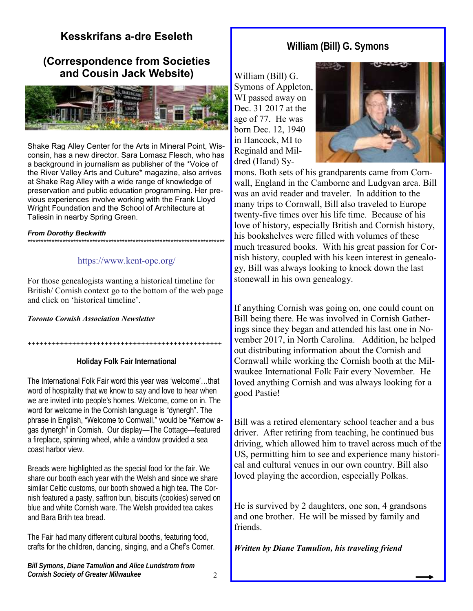# **Kesskrifans a-dre Eseleth**

# **(Correspondence from Societies and Cousin Jack Website)**



Shake Rag Alley Center for the Arts in Mineral Point, Wisconsin, has a new director. Sara Lomasz Flesch, who has a background in journalism as publisher of the \*Voice of the River Valley Arts and Culture\* magazine, also arrives at Shake Rag Alley with a wide range of knowledge of preservation and public education programming. Her previous experiences involve working with the Frank Lloyd Wright Foundation and the School of Architecture at Taliesin in nearby Spring Green.

#### *From Dorothy Beckwith*

#### \*\*\*\*\*\*\*\*\*\*\*\*\*\*\*\*\*\*\*\*\*\*\*\*\*\*\*\*\*\*\*\*\*\*\*\*\*\*\*\*\*\*\*\*\*\*\*\*\*\*\*\*\*\*\*\*\*\*\*\*\*\*\*\*\*\*\*\*\*\*\*\*\*

#### [https://www.kent](https://www.kent-opc.org/)-opc.org/

For those genealogists wanting a historical timeline for British/ Cornish context go to the bottom of the web page and click on 'historical timeline'.

#### *Toronto Cornish Association Newsletter*

++++++++++++++++++++++++++++++++++++++++++++++++

**Holiday Folk Fair International**

The International Folk Fair word this year was 'welcome'…that word of hospitality that we know to say and love to hear when we are invited into people's homes. Welcome, come on in. The word for welcome in the Cornish language is "dynergh". The phrase in English, "Welcome to Cornwall," would be "Kernow agas dynergh" in Cornish. Our display—The Cottage—featured a fireplace, spinning wheel, while a window provided a sea coast harbor view.

Breads were highlighted as the special food for the fair. We share our booth each year with the Welsh and since we share similar Celtic customs, our booth showed a high tea. The Cornish featured a pasty, saffron bun, biscuits (cookies) served on blue and white Cornish ware. The Welsh provided tea cakes and Bara Brith tea bread.

The Fair had many different cultural booths, featuring food, crafts for the children, dancing, singing, and a Chef's Corner.

# **William (Bill) G. Symons**

William (Bill) G. Symons of Appleton, WI passed away on Dec. 31 2017 at the age of 77. He was born Dec. 12, 1940 in Hancock, MI to Reginald and Mildred (Hand) Sy-



mons. Both sets of his grandparents came from Cornwall, England in the Camborne and Ludgvan area. Bill was an avid reader and traveler. In addition to the many trips to Cornwall, Bill also traveled to Europe twenty-five times over his life time. Because of his love of history, especially British and Cornish history, his bookshelves were filled with volumes of these much treasured books. With his great passion for Cornish history, coupled with his keen interest in genealogy, Bill was always looking to knock down the last stonewall in his own genealogy.

If anything Cornish was going on, one could count on Bill being there. He was involved in Cornish Gatherings since they began and attended his last one in November 2017, in North Carolina. Addition, he helped out distributing information about the Cornish and Cornwall while working the Cornish booth at the Milwaukee International Folk Fair every November. He loved anything Cornish and was always looking for a good Pastie!

Bill was a retired elementary school teacher and a bus driver. After retiring from teaching, he continued bus driving, which allowed him to travel across much of the US, permitting him to see and experience many historical and cultural venues in our own country. Bill also loved playing the accordion, especially Polkas.

He is survived by 2 daughters, one son, 4 grandsons and one brother. He will be missed by family and friends.

*Written by Diane Tamulion, his traveling friend*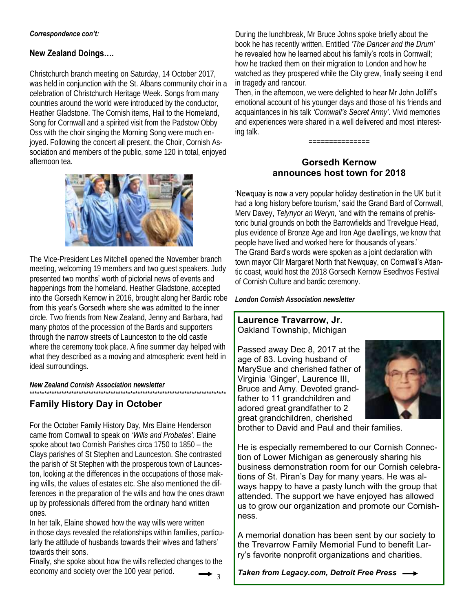#### **New Zealand Doings….**

Christchurch branch meeting on Saturday, 14 October 2017, was held in conjunction with the St. Albans community choir in a celebration of Christchurch Heritage Week. Songs from many countries around the world were introduced by the conductor, Heather Gladstone. The Cornish items, Hail to the Homeland, Song for Cornwall and a spirited visit from the Padstow Obby Oss with the choir singing the Morning Song were much enjoyed. Following the concert all present, the Choir, Cornish Association and members of the public, some 120 in total, enjoyed afternoon tea.



The Vice-President Les Mitchell opened the November branch meeting, welcoming 19 members and two guest speakers. Judy presented two months' worth of pictorial news of events and happenings from the homeland. Heather Gladstone, accepted into the Gorsedh Kernow in 2016, brought along her Bardic robe from this year's Gorsedh where she was admitted to the inner circle. Two friends from New Zealand, Jenny and Barbara, had many photos of the procession of the Bards and supporters through the narrow streets of Launceston to the old castle where the ceremony took place. A fine summer day helped with what they described as a moving and atmospheric event held in ideal surroundings.

*New Zealand Cornish Association newsletter*

#### \*\*\*\*\*\*\*\*\*\*\*\*\*\*\*\*\*\*\*\*\*\*\*\*\*\*\*\*\*\*\*\*\*\*\*\*\*\*\*\*\*\*\*\*\*\*\*\*\*\*\*\*\*\*\*\*\*\*\*\*\*\*\*\*\*\*\*\*\*\*\*\*\*\*\*\*\*\*\*\* **Family History Day in October**

For the October Family History Day, Mrs Elaine Henderson came from Cornwall to speak on *'Wills and Probates'*. Elaine spoke about two Cornish Parishes circa 1750 to 1850 – the Clays parishes of St Stephen and Launceston. She contrasted the parish of St Stephen with the prosperous town of Launceston, looking at the differences in the occupations of those making wills, the values of estates etc. She also mentioned the differences in the preparation of the wills and how the ones drawn up by professionals differed from the ordinary hand written ones.

In her talk, Elaine showed how the way wills were written in those days revealed the relationships within families, particularly the attitude of husbands towards their wives and fathers' towards their sons.

3 Finally, she spoke about how the wills reflected changes to the economy and society over the 100 year period.

During the lunchbreak, Mr Bruce Johns spoke briefly about the book he has recently written. Entitled *'The Dancer and the Drum'*  he revealed how he learned about his family's roots in Cornwall; how he tracked them on their migration to London and how he watched as they prospered while the City grew, finally seeing it end in tragedy and rancour.

Then, in the afternoon, we were delighted to hear Mr John Jolliff's emotional account of his younger days and those of his friends and acquaintances in his talk *'Cornwall's Secret Army'*. Vivid memories and experiences were shared in a well delivered and most interesting talk.

===============

## **Gorsedh Kernow announces host town for 2018**

'Newquay is now a very popular holiday destination in the UK but it had a long history before tourism,' said the Grand Bard of Cornwall, Merv Davey, *Telynyor an Weryn,* 'and with the remains of prehistoric burial grounds on both the Barrowfields and Trevelgue Head, plus evidence of Bronze Age and Iron Age dwellings, we know that people have lived and worked here for thousands of years.' The Grand Bard's words were spoken as a joint declaration with town mayor Cllr Margaret North that Newquay, on Cornwall's Atlantic coast, would host the 2018 Gorsedh Kernow Esedhvos Festival of Cornish Culture and bardic ceremony.

*London Cornish Association newsletter*

#### **Laurence Travarrow, Jr.** Oakland Township, Michigan

Passed away Dec 8, 2017 at the age of 83. Loving husband of MarySue and cherished father of Virginia 'Ginger', Laurence III, Bruce and Amy. Devoted grandfather to 11 grandchildren and adored great grandfather to 2 great grandchildren, cherished



brother to David and Paul and their families.

He is especially remembered to our Cornish Connection of Lower Michigan as generously sharing his business demonstration room for our Cornish celebrations of St. Piran's Day for many years. He was always happy to have a pasty lunch with the group that attended. The support we have enjoyed has allowed us to grow our organization and promote our Cornishness.

A memorial donation has been sent by our society to the Trevarrow Family Memorial Fund to benefit Larry's favorite nonprofit organizations and charities.

*Taken from Legacy.com, Detroit Free Press*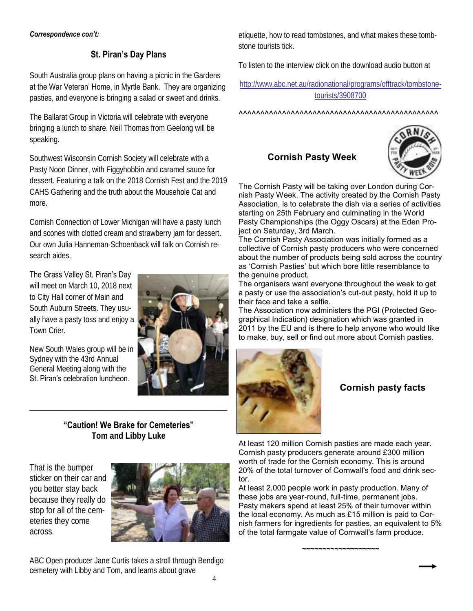# **St. Piran's Day Plans**

South Australia group plans on having a picnic in the Gardens at the War Veteran' Home, in Myrtle Bank. They are organizing pasties, and everyone is bringing a salad or sweet and drinks.

The Ballarat Group in Victoria will celebrate with everyone bringing a lunch to share. Neil Thomas from Geelong will be speaking.

Southwest Wisconsin Cornish Society will celebrate with a Pasty Noon Dinner, with Figgyhobbin and caramel sauce for dessert. Featuring a talk on the 2018 Cornish Fest and the 2019 CAHS Gathering and the truth about the Mousehole Cat and more.

Cornish Connection of Lower Michigan will have a pasty lunch and scones with clotted cream and strawberry jam for dessert. Our own Julia Hanneman-Schoenback will talk on Cornish research aides.

# The Grass Valley St. Piran's Day

will meet on March 10, 2018 next to City Hall corner of Main and South Auburn Streets. They usually have a pasty toss and enjoy a Town Crier.

New South Wales group will be in Sydney with the 43rd Annual General Meeting along with the St. Piran's celebration luncheon.



**"Caution! We Brake for Cemeteries" Tom and Libby Luke**

\_\_\_\_\_\_\_\_\_\_\_\_\_\_\_\_\_\_\_\_\_\_\_\_\_\_\_\_\_\_\_\_\_\_\_\_\_\_\_\_\_\_\_\_\_\_\_\_\_\_\_

That is the bumper sticker on their car and you better stay back because they really do stop for all of the cemeteries they come across.



ABC Open producer Jane Curtis takes a stroll through Bendigo cemetery with Libby and Tom, and learns about grave

etiquette, how to read tombstones, and what makes these tombstone tourists tick.

To listen to the interview click on the download audio button at

[http://www.abc.net.au/radionational/programs/offtrack/tombstone](http://www.abc.net.au/radionational/programs/offtrack/tombstone-tourists/3908700)[tourists/3908700](http://www.abc.net.au/radionational/programs/offtrack/tombstone-tourists/3908700)

^^^^^^^^^^^^^^^^^^^^^^^^^^^^^^^^^^^^^^^^^^^^^^

# **Cornish Pasty Week**



The Cornish Pasty will be taking over London during Cornish Pasty Week. The activity created by the Cornish Pasty Association, is to celebrate the dish via a series of activities starting on 25th February and culminating in the World Pasty Championships (the Oggy Oscars) at the Eden Project on Saturday, 3rd March.

The Cornish Pasty Association was initially formed as a collective of Cornish pasty producers who were concerned about the number of products being sold across the country as 'Cornish Pasties' but which bore little resemblance to the genuine product.

The organisers want everyone throughout the week to get a pasty or use the association's cut-out pasty, hold it up to their face and take a selfie.

The Association now administers the PGI (Protected Geographical Indication) designation which was granted in 2011 by the EU and is there to help anyone who would like to make, buy, sell or find out more about Cornish pasties.



# **Cornish pasty facts**

At least 120 million Cornish pasties are made each year. Cornish pasty producers generate around £300 million worth of trade for the Cornish economy. This is around 20% of the total turnover of Cornwall's food and drink sector.

At least 2,000 people work in pasty production. Many of these jobs are year-round, full-time, permanent jobs. Pasty makers spend at least 25% of their turnover within the local economy. As much as £15 million is paid to Cornish farmers for ingredients for pasties, an equivalent to 5% of the total farmgate value of Cornwall's farm produce.

*~~~~~~~~~~~~~~~~~~~*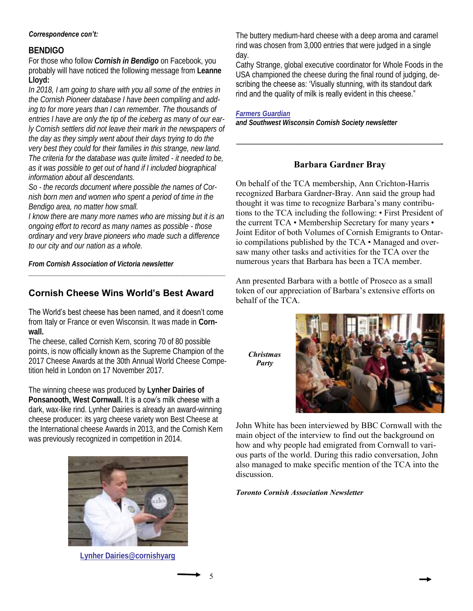#### **BENDIGO**

For those who follow *Cornish in Bendigo* on Facebook, you probably will have noticed the following message from **Leanne Lloyd:**

*In 2018, I am going to share with you all some of the entries in the Cornish Pioneer database I have been compiling and adding to for more years than I can remember. The thousands of entries I have are only the tip of the iceberg as many of our early Cornish settlers did not leave their mark in the newspapers of the day as they simply went about their days trying to do the very best they could for their families in this strange, new land. The criteria for the database was quite limited - it needed to be, as it was possible to get out of hand if I included biographical information about all descendants.*

*So - the records document where possible the names of Cornish born men and women who spent a period of time in the Bendigo area, no matter how small.*

*I know there are many more names who are missing but it is an ongoing effort to record as many names as possible - those ordinary and very brave pioneers who made such a difference to our city and our nation as a whole.*

*\_\_\_\_\_\_\_\_\_\_\_\_\_\_\_\_\_\_\_\_\_\_\_\_\_\_\_\_\_\_\_\_\_\_\_\_\_\_\_\_\_\_\_\_\_\_\_\_\_\_\_\_\_\_\_\_*

*From Cornish Association of Victoria newsletter*

# **Cornish Cheese Wins World's Best Award**

The World's best cheese has been named, and it doesn't come from Italy or France or even Wisconsin. It was made in **Cornwall.**

The cheese, called Cornish Kern, scoring 70 of 80 possible points, is now officially known as the Supreme Champion of the 2017 Cheese Awards at the 30th Annual World Cheese Competition held in London on 17 November 2017.

The winning cheese was produced by **Lynher Dairies of**  Ponsanooth, West Cornwall. It is a cow's milk cheese with a dark, wax-like rind. Lynher Dairies is already an award-winning cheese producer: its yarg cheese variety won Best Cheese at the International cheese Awards in 2013, and the Cornish Kern was previously recognized in competition in 2014.



**[Lynher Dairies@cornishyarg](mailto:Lynher%20Dairies@)**

5

The buttery medium-hard cheese with a deep aroma and caramel rind was chosen from 3,000 entries that were judged in a single day.

Cathy Strange, global executive coordinator for Whole Foods in the USA championed the cheese during the final round of judging, describing the cheese as: 'Visually stunning, with its standout dark rind and the quality of milk is really evident in this cheese."

*[Farmers](https://www.fginsight.com/news/news/british-cheese-named-best-in-the-world-at-world-cheese-awards-2017-42334) Guardian*

*and Southwest Wisconsin Cornish Society newsletter*

#### **Barbara Gardner Bray**

**——————————————————————-**

On behalf of the TCA membership, Ann Crichton-Harris recognized Barbara Gardner-Bray. Ann said the group had thought it was time to recognize Barbara's many contributions to the TCA including the following: • First President of the current TCA • Membership Secretary for many years • Joint Editor of both Volumes of Cornish Emigrants to Ontario compilations published by the TCA • Managed and oversaw many other tasks and activities for the TCA over the numerous years that Barbara has been a TCA member.

Ann presented Barbara with a bottle of Proseco as a small token of our appreciation of Barbara's extensive efforts on behalf of the TCA.

*Christmas Party*



John White has been interviewed by BBC Cornwall with the main object of the interview to find out the background on how and why people had emigrated from Cornwall to various parts of the world. During this radio conversation, John also managed to make specific mention of the TCA into the discussion.

*Toronto Cornish Association Newsletter*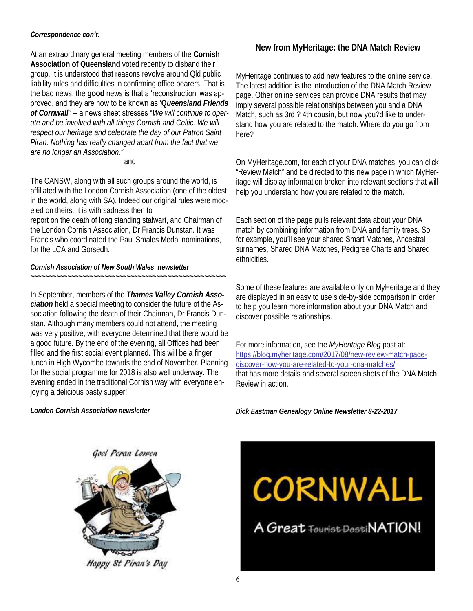At an extraordinary general meeting members of the **Cornish Association of Queensland** voted recently to disband their group. It is understood that reasons revolve around Qld public liability rules and difficulties in confirming office bearers. That is the bad news, the **good** news is that a 'reconstruction' was approved, and they are now to be known as '**Q***ueensland Friends of Cornwall*'' – a news sheet stresses "*We will continue to operate and be involved with all things Cornish and Celtic. We will respect our heritage and celebrate the day of our Patron Saint Piran. Nothing has really changed apart from the fact that we are no longer an Association."*

#### and

The CANSW, along with all such groups around the world, is affiliated with the London Cornish Association (one of the oldest in the world, along with SA). Indeed our original rules were modeled on theirs. It is with sadness then to

report on the death of long standing stalwart, and Chairman of the London Cornish Association, Dr Francis Dunstan. It was Francis who coordinated the Paul Smales Medal nominations, for the LCA and Gorsedh.

*Cornish Association of New South Wales newsletter ~~~~~~~~~~~~~~~~~~~~~~~~~~~~~~~~~~~~~~~~~~~~~~~~~~~~~*

In September, members of the *Thames Valley Cornish Association* held a special meeting to consider the future of the Association following the death of their Chairman, Dr Francis Dunstan. Although many members could not attend, the meeting was very positive, with everyone determined that there would be a good future. By the end of the evening, all Offices had been filled and the first social event planned. This will be a finger lunch in High Wycombe towards the end of November. Planning for the social programme for 2018 is also well underway. The evening ended in the traditional Cornish way with everyone enjoying a delicious pasty supper!

**[New from MyHeritage: the DNA Match Review](https://urldefense.proofpoint.com/v2/url?u=https-3A__p.feedblitz.com_r3.asp-3Fl-3D141577239-26f-3D948986-26c-3D5737271-26u-3D26090272&d=DwMGaQ&c=nE__W8dFE-shTxStwXtp0A&r=Zfk7b_46swAEmC28Oc9cfw&m=Z69mGHNPRcbEjcpGUVwBfPIlQzcqiSk0r5i8GDrdi44&s=OqCDoqYyDegSCaBjNW)**

MyHeritage continues to add new features to the online service. The latest addition is the introduction of the DNA Match Review page. Other online services can provide DNA results that may imply several possible relationships between you and a DNA Match, such as 3rd ? 4th cousin, but now you?d like to understand how you are related to the match. Where do you go from here?

On MyHeritage.com, for each of your DNA matches, you can click "Review Match" and be directed to this new page in which MyHeritage will display information broken into relevant sections that will help you understand how you are related to the match.

Each section of the page pulls relevant data about your DNA match by combining information from DNA and family trees. So, for example, you'll see your shared Smart Matches, Ancestral surnames, Shared DNA Matches, Pedigree Charts and Shared ethnicities.

Some of these features are available only on MyHeritage and they are displayed in an easy to use side-by-side comparison in order to help you learn more information about your DNA Match and discover possible relationships.

For more information, see the *MyHeritage Blog* post at: [https://blog.myheritage.com/2017/08/new-review-match-page](https://blog.myheritage.com/2017/08/new-review-match-page-discover-how-you-are-related-to-your-dna-matches/)[discover-how-you-are-related-to-your-dna-matches/](https://blog.myheritage.com/2017/08/new-review-match-page-discover-how-you-are-related-to-your-dna-matches/)  that has more details and several screen shots of the DNA Match Review in action.

*London Cornish Association newsletter*

*Dick Eastman Genealogy Online Newsletter 8-22-2017*



Happy St Piran's Day

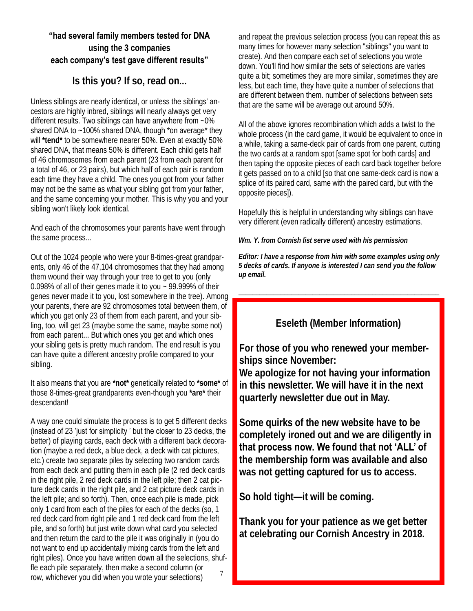# **"had several family members tested for DNA**

# **using the 3 companies each company's test gave different results"**

# **Is this you? If so, read on...**

Unless siblings are nearly identical, or unless the siblings' ancestors are highly inbred, siblings will nearly always get very different results. Two siblings can have anywhere from ~0% shared DNA to ~100% shared DNA, though \*on average\* they will **\*tend\*** to be somewhere nearer 50%. Even at exactly 50% shared DNA, that means 50% is different. Each child gets half of 46 chromosomes from each parent (23 from each parent for a total of 46, or 23 pairs), but which half of each pair is random each time they have a child. The ones you got from your father may not be the same as what your sibling got from your father, and the same concerning your mother. This is why you and your sibling won't likely look identical.

And each of the chromosomes your parents have went through the same process...

Out of the 1024 people who were your 8-times-great grandparents, only 46 of the 47,104 chromosomes that they had among them wound their way through your tree to get to you (only 0.098% of all of their genes made it to you ~ 99.999% of their genes never made it to you, lost somewhere in the tree). Among your parents, there are 92 chromosomes total between them, of which you get only 23 of them from each parent, and your sibling, too, will get 23 (maybe some the same, maybe some not) from each parent... But which ones you get and which ones your sibling gets is pretty much random. The end result is you can have quite a different ancestry profile compared to your sibling.

It also means that you are **\*not\*** genetically related to **\*some\*** of those 8-times-great grandparents even-though you **\*are\*** their descendant!

A way one could simulate the process is to get 5 different decks (instead of 23 'just for simplicity ' but the closer to 23 decks, the better) of playing cards, each deck with a different back decoration (maybe a red deck, a blue deck, a deck with cat pictures, etc.) create two separate piles by selecting two random cards from each deck and putting them in each pile (2 red deck cards in the right pile, 2 red deck cards in the left pile; then 2 cat picture deck cards in the right pile, and 2 cat picture deck cards in the left pile; and so forth). Then, once each pile is made, pick only 1 card from each of the piles for each of the decks (so, 1 red deck card from right pile and 1 red deck card from the left pile, and so forth) but just write down what card you selected and then return the card to the pile it was originally in (you do not want to end up accidentally mixing cards from the left and right piles). Once you have written down all the selections, shuffle each pile separately, then make a second column (or row, whichever you did when you wrote your selections) 7

and repeat the previous selection process (you can repeat this as many times for however many selection "siblings" you want to create). And then compare each set of selections you wrote down. You'll find how similar the sets of selections are varies quite a bit; sometimes they are more similar, sometimes they are less, but each time, they have quite a number of selections that are different between them. number of selections between sets that are the same will be average out around 50%.

All of the above ignores recombination which adds a twist to the whole process (in the card game, it would be equivalent to once in a while, taking a same-deck pair of cards from one parent, cutting the two cards at a random spot [same spot for both cards] and then taping the opposite pieces of each card back together before it gets passed on to a child [so that one same-deck card is now a splice of its paired card, same with the paired card, but with the opposite pieces]).

Hopefully this is helpful in understanding why siblings can have very different (even radically different) ancestry estimations.

*Wm. Y. from Cornish list serve used with his permission*

*Editor: I have a response from him with some examples using only 5 decks of cards. If anyone is interested I can send you the follow up email.*

\_\_\_\_\_\_\_\_\_\_\_\_\_\_\_\_\_\_\_\_\_\_\_\_\_\_\_\_\_\_\_\_\_\_\_\_\_\_\_\_\_\_\_\_\_\_\_\_\_\_\_\_\_\_\_\_\_

# **Eseleth (Member Information)**

**For those of you who renewed your memberships since November:** 

**We apologize for not having your information in this newsletter. We will have it in the next quarterly newsletter due out in May.**

**Some quirks of the new website have to be completely ironed out and we are diligently in that process now. We found that not 'ALL' of the membership form was available and also was not getting captured for us to access.**

**So hold tight—it will be coming.**

**Thank you for your patience as we get better at celebrating our Cornish Ancestry in 2018.**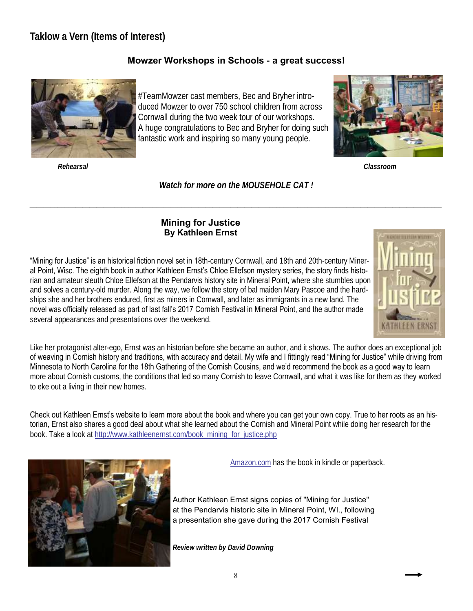# **Taklow a Vern (Items of Interest)**

# **Mowzer Workshops in Schools - a great success!**



#TeamMowzer cast members, Bec and Bryher introduced Mowzer to over 750 school children from across Cornwall during the two week tour of our workshops. A huge congratulations to Bec and Bryher for doing such fantastic work and inspiring so many young people.



*Rehearsal Classroom*

*Watch for more on the MOUSEHOLE CAT !*

*\_\_\_\_\_\_\_\_\_\_\_\_\_\_\_\_\_\_\_\_\_\_\_\_\_\_\_\_\_\_\_\_\_\_\_\_\_\_\_\_\_\_\_\_\_\_\_\_\_\_\_\_\_\_\_\_\_\_\_\_\_\_\_\_\_\_\_\_\_\_\_\_\_\_\_\_\_\_\_\_\_\_\_\_\_\_\_\_\_\_\_\_\_\_\_\_\_\_\_\_\_\_\_\_\_\_\_\_\_\_\_\_\_\_\_\_\_*

#### **Mining for Justice By Kathleen Ernst**

"Mining for Justice" is an historical fiction novel set in 18th-century Cornwall, and 18th and 20th-century Mineral Point, Wisc. The eighth book in author Kathleen Ernst's Chloe Ellefson mystery series, the story finds historian and amateur sleuth Chloe Ellefson at the Pendarvis history site in Mineral Point, where she stumbles upon and solves a century-old murder. Along the way, we follow the story of bal maiden Mary Pascoe and the hardships she and her brothers endured, first as miners in Cornwall, and later as immigrants in a new land. The novel was officially released as part of last fall's 2017 Cornish Festival in Mineral Point, and the author made several appearances and presentations over the weekend.



Like her protagonist alter-ego, Ernst was an historian before she became an author, and it shows. The author does an exceptional job of weaving in Cornish history and traditions, with accuracy and detail. My wife and I fittingly read "Mining for Justice" while driving from Minnesota to North Carolina for the 18th Gathering of the Cornish Cousins, and we'd recommend the book as a good way to learn more about Cornish customs, the conditions that led so many Cornish to leave Cornwall, and what it was like for them as they worked to eke out a living in their new homes.

Check out Kathleen Ernst's website to learn more about the book and where you can get your own copy. True to her roots as an historian, Ernst also shares a good deal about what she learned about the Cornish and Mineral Point while doing her research for the book. Take a look at [http://www.kathleenernst.com/book\\_mining\\_for\\_justice.php](http://www.kathleenernst.com/book_mining_for_justice.php)



[Amazon.com](https://www.amazon.com/s/?ie=UTF8&keywords=mining+for+justice&tag=mh0b-20&index=aps&hvadid=78271504133676&hvqmt=p&hvbmt=bp&hvdev=c&ref=pd_sl_21j5cynbhp_p) has the book in kindle or paperback.

Author Kathleen Ernst signs copies of "Mining for Justice" at the Pendarvis historic site in Mineral Point, WI., following a presentation she gave during the 2017 Cornish Festival

*Review written by David Downing*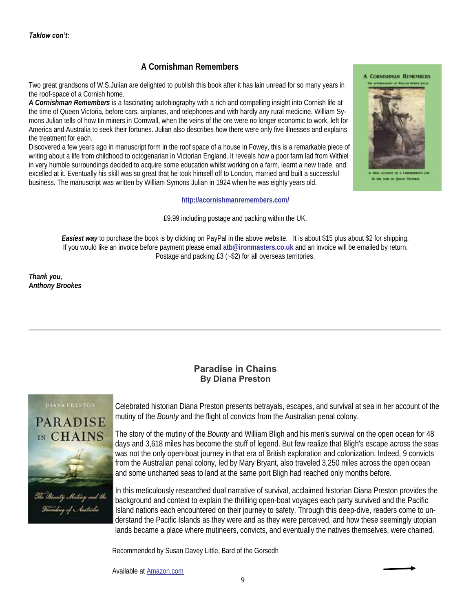#### **A Cornishman Remembers**

Two great grandsons of W.S.Julian are delighted to publish this book after it has lain unread for so many years in the roof-space of a Cornish home.

*A Cornishman Remembers* is a fascinating autobiography with a rich and compelling insight into Cornish life at the time of Queen Victoria, before cars, airplanes, and telephones and with hardly any rural medicine. William Symons Julian tells of how tin miners in Cornwall, when the veins of the ore were no longer economic to work, left for America and Australia to seek their fortunes. Julian also describes how there were only five illnesses and explains the treatment for each.

Discovered a few years ago in manuscript form in the roof space of a house in Fowey, this is a remarkable piece of writing about a life from childhood to octogenarian in Victorian England. It reveals how a poor farm lad from Withiel in very humble surroundings decided to acquire some education whilst working on a farm, learnt a new trade, and excelled at it. Eventually his skill was so great that he took himself off to London, married and built a successful business. The manuscript was written by William Symons Julian in 1924 when he was eighty years old.

#### **<http://acornishmanremembers.com/>**

£9.99 including postage and packing within the UK.

*Easiest way* to purchase the book is by clicking on PayPal in the above website. It is about \$15 plus about \$2 for shipping. If you would like an invoice before payment please email **atb@ironmasters.co.uk** and an invoice will be emailed by return. Postage and packing £3 (~\$2) for all overseas territories.

*Thank you, Anthony Brookes* 

#### **Paradise in Chains By Diana Preston**

 $\Box$  . The contribution of the contribution of the contribution of the contribution of the contribution of the contribution of the contribution of the contribution of the contribution of the contribution of the contributi

#### **DIANA PRESTON**



<sup>l</sup>ing of Australia

Celebrated historian Diana Preston presents betrayals, escapes, and survival at sea in her account of the mutiny of the *Bounty* and the flight of convicts from the Australian penal colony.

The story of the mutiny of the *Bounty* and William Bligh and his men's survival on the open ocean for 48 days and 3,618 miles has become the stuff of legend. But few realize that Bligh's escape across the seas was not the only open-boat journey in that era of British exploration and colonization. Indeed, 9 convicts from the Australian penal colony, led by Mary Bryant, also traveled 3,250 miles across the open ocean and some uncharted seas to land at the same port Bligh had reached only months before.

In this meticulously researched dual narrative of survival, acclaimed historian Diana Preston provides the background and context to explain the thrilling open-boat voyages each party survived and the Pacific Island nations each encountered on their journey to safety. Through this deep-dive, readers come to understand the Pacific Islands as they were and as they were perceived, and how these seemingly utopian lands became a place where mutineers, convicts, and eventually the natives themselves, were chained.

Recommended by Susan Davey Little, Bard of the Gorsedh

Available at [Amazon.com](https://www.amazon.com/Paradise-Chains-Bounty-Founding-Australia/dp/1632866102/ref=sr_1_1?ie=UTF8&qid=1519573137&sr=8-1&keywords=paradise+bounty+mutiny)

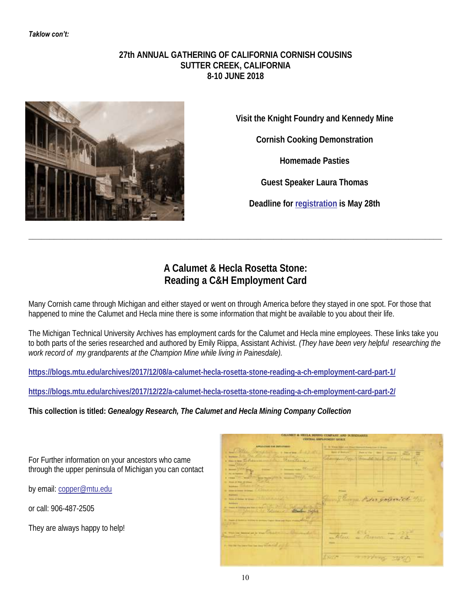#### **27th ANNUAL GATHERING OF CALIFORNIA CORNISH COUSINS SUTTER CREEK, CALIFORNIA 8-10 JUNE 2018**



**Visit the Knight Foundry and Kennedy Mine**

**Cornish Cooking Demonstration**

**Homemade Pasties**

**Guest Speaker Laura Thomas**

**Deadline for [registration](https://gallery.mailchimp.com/aa72d5a157d514f4c35442e1a/files/928f266b-d1d5-49b7-8b5b-9d8baf56e797/CCC_2018_Gathering_Sutter_Creek_Reg_Form.pdf) is May 28th**

# **A Calumet & Hecla Rosetta Stone: Reading a C&H Employment Card**

**\_\_\_\_\_\_\_\_\_\_\_\_\_\_\_\_\_\_\_\_\_\_\_\_\_\_\_\_\_\_\_\_\_\_\_\_\_\_\_\_\_\_\_\_\_\_\_\_\_\_\_\_\_\_\_\_\_\_\_\_\_\_\_\_\_\_\_\_\_\_\_\_\_\_\_\_\_\_\_\_\_\_\_\_\_\_\_\_\_\_\_\_\_\_\_\_\_\_**

Many Cornish came through Michigan and either stayed or went on through America before they stayed in one spot. For those that happened to mine the Calumet and Hecla mine there is some information that might be available to you about their life.

The Michigan Technical University Archives has employment cards for the Calumet and Hecla mine employees. These links take you to both parts of the series researched and authored by Emily Riippa, Assistant Achivist. *(They have been very helpful researching the work record of my grandparents at the Champion Mine while living in Painesdale).*

**<https://blogs.mtu.edu/archives/2017/12/08/a-calumet-hecla-rosetta-stone-reading-a-ch-employment-card-part-1/>**

**<https://blogs.mtu.edu/archives/2017/12/22/a-calumet-hecla-rosetta-stone-reading-a-ch-employment-card-part-2/>**

**This collection is titled:** *Genealogy Research, The Calumet and Hecla Mining Company Collection*

For Further information on your ancestors who came through the upper peninsula of Michigan you can contact

by email: [copper@mtu.edu](mailto:copper@mtu.edu)

or call: 906-487-2505

They are always happy to help!

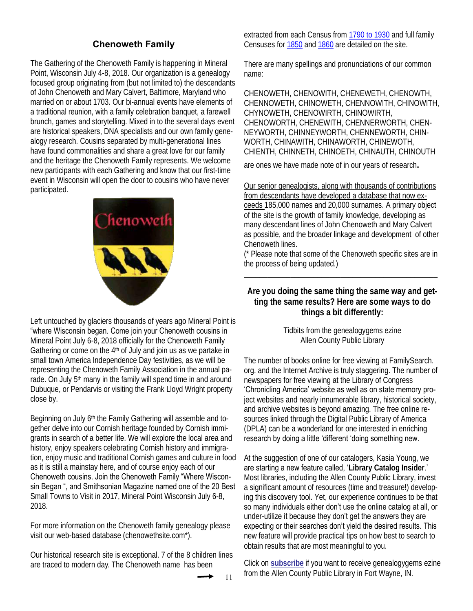# **Chenoweth Family**

The Gathering of the Chenoweth Family is happening in Mineral Point, Wisconsin July 4-8, 2018. Our organization is a genealogy focused group originating from (but not limited to) the descendants of John Chenoweth and Mary Calvert, Baltimore, Maryland who married on or about 1703. Our bi-annual events have elements of a traditional reunion, with a family celebration banquet, a farewell brunch, games and storytelling. Mixed in to the several days event are historical speakers, DNA specialists and our own family genealogy research. Cousins separated by multi-generational lines have found commonalities and share a great love for our family and the heritage the Chenoweth Family represents. We welcome new participants with each Gathering and know that our first-time event in Wisconsin will open the door to cousins who have never participated.



Left untouched by glaciers thousands of years ago Mineral Point is "where Wisconsin began. Come join your Chenoweth cousins in Mineral Point July 6-8, 2018 officially for the Chenoweth Family Gathering or come on the 4th of July and join us as we partake in small town America Independence Day festivities, as we will be representing the Chenoweth Family Association in the annual parade. On July 5<sup>th</sup> many in the family will spend time in and around Dubuque, or Pendarvis or visiting the Frank Lloyd Wright property close by.

Beginning on July 6<sup>th</sup> the Family Gathering will assemble and together delve into our Cornish heritage founded by Cornish immigrants in search of a better life. We will explore the local area and history, enjoy speakers celebrating Cornish history and immigration, enjoy music and traditional Cornish games and culture in food as it is still a mainstay here, and of course enjoy each of our Chenoweth cousins. Join the Chenoweth Family "Where Wisconsin Began ", and Smithsonian Magazine named one of the 20 Best Small Towns to Visit in 2017, Mineral Point Wisconsin July 6-8, 2018.

For more information on the Chenoweth family genealogy please visit our web-based database (chenowethsite.com\*).

Our historical research site is exceptional. 7 of the 8 children lines are traced to modern day. The Chenoweth name has been

11

extracted from each Census from [1790 to 1930](http://www.chenowethsite.com/chenmale.htm) and full family Censuses for [1850](http://www.chenowethsite.com/chen185a.htm) and [1860](http://www.chenowethsite.com/chen186a.htm) are detailed on the site.

There are many spellings and pronunciations of our common name:

CHENOWETH, CHENOWITH, CHENEWETH, CHENOWTH, CHENNOWETH, CHINOWETH, CHENNOWITH, CHINOWITH, CHYNOWETH, CHENOWIRTH, CHINOWIRTH, CHENOWORTH, CHENEWITH, CHENNERWORTH, CHEN-NEYWORTH, CHINNEYWORTH, CHENNEWORTH, CHIN-WORTH, CHINAWITH, CHINAWORTH, CHINEWOTH, CHIENTH, CHINNETH, CHINOETH, CHINAUTH, CHINOUTH

are ones we have made note of in our years of research.

Our senior genealogists, along with thousands of contributions from descendants have developed a database that now exceeds 185,000 names and 20,000 surnames. A primary object of the site is the growth of family knowledge, developing as many descendant lines of John Chenoweth and Mary Calvert as possible, and the broader linkage and development of other Chenoweth lines.

(\* Please note that some of the Chenoweth specific sites are in the process of being updated.) \_\_\_\_\_\_\_\_\_\_\_\_\_\_\_\_\_\_\_\_\_\_\_\_\_\_\_\_\_\_\_\_\_\_\_\_\_\_\_\_\_\_\_\_\_\_\_\_\_\_

**Are you doing the same thing the same way and getting the same results? Here are some ways to do things a bit differently:** 

> Tidbits from the genealogygems ezine Allen County Public Library

The number of books online for free viewing at FamilySearch. org. and the Internet Archive is truly staggering. The number of newspapers for free viewing at the Library of Congress 'Chronicling America' website as well as on state memory project websites and nearly innumerable library, historical society, and archive websites is beyond amazing. The free online resources linked through the Digital Public Library of America (DPLA) can be a wonderland for one interested in enriching research by doing a little 'different 'doing something new.

At the suggestion of one of our catalogers, Kasia Young, we are starting a new feature called, '**Library Catalog Insider**.' Most libraries, including the Allen County Public Library, invest a significant amount of resources (time and treasure!) developing this discovery tool. Yet, our experience continues to be that so many individuals either don't use the online catalog at all, or under-utilize it because they don't get the answers they are expecting or their searches don't yield the desired results. This new feature will provide practical tips on how best to search to obtain results that are most meaningful to you.

Click on **[subscribe](https://lists.genealogycenter.info/mailman/listinfo/genealogygems)** if you want to receive genealogygems ezine from the Allen County Public Library in Fort Wayne, IN.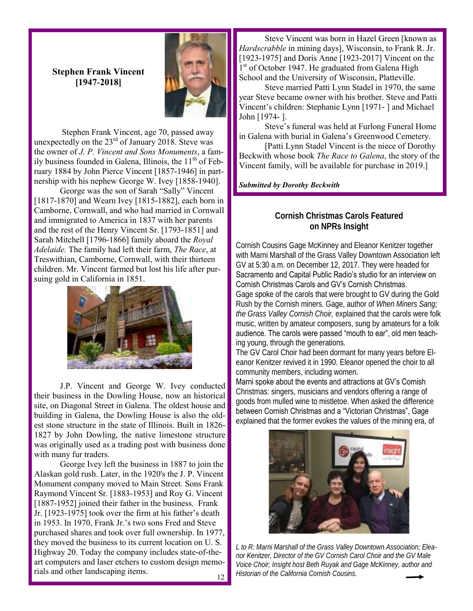#### **Stephen Frank Vincent [1947-2018]**



Stephen Frank Vincent, age 70, passed away unexpectedly on the  $23<sup>rd</sup>$  of January 2018. Steve was the owner of *J. P. Vincent and Sons Monuments*, a family business founded in Galena, Illinois, the 11<sup>th</sup> of February 1884 by John Pierce Vincent [1857-1946] in partnership with his nephew George W. Ivey [1858-1940].

George was the son of Sarah "Sally" Vincent [1817-1870] and Wearn Ivey [1815-1882], each born in Camborne, Cornwall, and who had married in Cornwall and immigrated to America in 1837 with her parents and the rest of the Henry Vincent Sr. [1793-1851] and Sarah Mitchell [1796-1866] family aboard the *Royal Adelaide.* The family had left their farm, *The Race*, at Treswithian, Camborne, Cornwall, with their thirteen children. Mr. Vincent farmed but lost his life after pursuing gold in California in 1851.



J.P. Vincent and George W. Ivey conducted their business in the Dowling House, now an historical site, on Diagonal Street in Galena. The oldest house and building in Galena, the Dowling House is also the oldest stone structure in the state of Illinois. Built in 1826- 1827 by John Dowling, the native limestone structure was originally used as a trading post with business done with many fur traders.

George Ivey left the business in 1887 to join the Alaskan gold rush. Later, in the 1920's the J. P. Vincent Monument company moved to Main Street. Sons Frank Raymond Vincent Sr. [1883-1953] and Roy G. Vincent [1887-1952] joined their father in the business. Frank Jr. [1923-1975] took over the firm at his father's death in 1953. In 1970, Frank Jr.'s two sons Fred and Steve purchased shares and took over full ownership. In 1977, they moved the business to its current location on U. S. Highway 20. Today the company includes state-of-theart computers and laser etchers to custom design memorials and other landscaping items.

Steve Vincent was born in Hazel Green [known as *Hardscrabble* in mining days], Wisconsin, to Frank R. Jr. [1923-1975] and Doris Anne [1923-2017] Vincent on the 1<sup>st</sup> of October 1947. He graduated from Galena High School and the University of Wisconsin, Platteville.

Steve married Patti Lynn Stadel in 1970, the same year Steve became owner with his brother. Steve and Patti Vincent's children: Stephanie Lynn [1971- ] and Michael John [1974- ].

Steve's funeral was held at Furlong Funeral Home in Galena with burial in Galena's Greenwood Cemetery.

[Patti Lynn Stadel Vincent is the niece of Dorothy Beckwith whose book *The Race to Galena*, the story of the Vincent family, will be available for purchase in 2019.]

*Submitted by Dorothy Beckwith*

#### **Cornish Christmas Carols Featured on NPRs Insight**

Cornish Cousins Gage McKinney and Eleanor Kenitzer together with Marni Marshall of the Grass Valley Downtown Association left GV at 5:30 a.m. on December 12, 2017. They were headed for Sacramento and Capital Public Radio's studio for an interview on Cornish Christmas Carols and GV's Cornish Christmas.

Gage spoke of the carols that were brought to GV during the Gold Rush by the Cornish miners. Gage, author of *When Miners Sang; the Grass Valley Cornish Choir,* explained that the carols were folk music, written by amateur composers, sung by amateurs for a folk audience. The carols were passed "mouth to ear", old men teaching young, through the generations.

The GV Carol Choir had been dormant for many years before Eleanor Kenitzer revived it in 1990. Eleanor opened the choir to all community members, including women.

Marni spoke about the events and attractions at GV's Cornish Christmas: singers, musicians and vendors offering a range of goods from mulled wine to mistletoe. When asked the difference between Cornish Christmas and a "Victorian Christmas", Gage explained that the former evokes the values of the mining era, of



*L to R: Marni Marshall of the Grass Valley Downtown Association; Eleanor Kenitzer, Director of the GV Cornish Carol Choir and the GV Male Voice Choir; Insight host Beth Ruyak and Gage McKinney, author and Historian of the California Cornish Cousins.*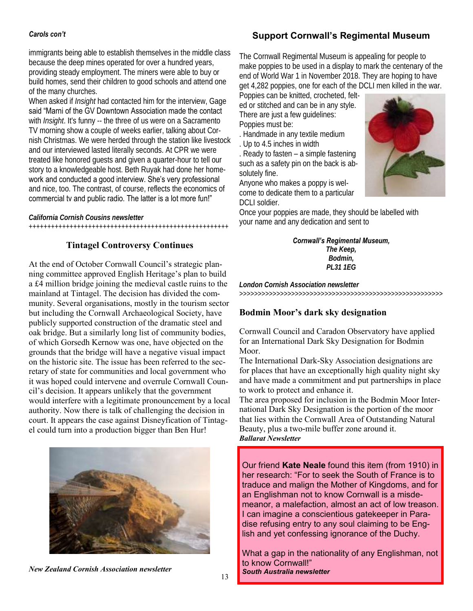# **Support Cornwall's Regimental Museum**

#### *Carols con't*

immigrants being able to establish themselves in the middle class because the deep mines operated for over a hundred years, providing steady employment. The miners were able to buy or build homes, send their children to good schools and attend one of the many churches.

When asked if *Insight* had contacted him for the interview, Gage said "Marni of the GV Downtown Association made the contact with *Insight*. It's funny -- the three of us were on a Sacramento TV morning show a couple of weeks earlier, talking about Cornish Christmas. We were herded through the station like livestock and our interviewed lasted literally seconds. At CPR we were treated like honored guests and given a quarter-hour to tell our story to a knowledgeable host. Beth Ruyak had done her homework and conducted a good interview. She's very professional and nice, too. The contrast, of course, reflects the economics of commercial tv and public radio. The latter is a lot more fun!"

*California Cornish Cousins newsletter* ++++++++++++++++++++++++++++++++++++++++++++++++++++++

#### **Tintagel Controversy Continues**

At the end of October Cornwall Council's strategic planning committee approved English Heritage's plan to build a £4 million bridge joining the medieval castle ruins to the mainland at Tintagel. The decision has divided the community. Several organisations, mostly in the tourism sector but including the Cornwall Archaeological Society, have publicly supported construction of the dramatic steel and oak bridge. But a similarly long list of community bodies, of which Gorsedh Kernow was one, have objected on the grounds that the bridge will have a negative visual impact on the historic site. The issue has been referred to the secretary of state for communities and local government who it was hoped could intervene and overrule Cornwall Council's decision. It appears unlikely that the government would interfere with a legitimate pronouncement by a local authority. Now there is talk of challenging the decision in court. It appears the case against Disneyfication of Tintagel could turn into a production bigger than Ben Hur!



*New Zealand Cornish Association newsletter*

The Cornwall Regimental Museum is appealing for people to make poppies to be used in a display to mark the centenary of the end of World War 1 in November 2018. They are hoping to have get 4,282 poppies, one for each of the DCLI men killed in the war.

Poppies can be knitted, crocheted, felted or stitched and can be in any style. There are just a few guidelines: Poppies must be:

. Handmade in any textile medium

. Up to 4.5 inches in width

. Ready to fasten – a simple fastening such as a safety pin on the back is absolutely fine.

Anyone who makes a poppy is welcome to dedicate them to a particular DCLI soldier.



#### *Cornwall's Regimental Museum,*

*The Keep, Bodmin, PL31 1EG*

*London Cornish Association newsletter* >>>>>>>>>>>>>>>>>>>>>>>>>>>>>>>>>>>>>>>>>>>>>>>>>>>>>>>

#### **Bodmin Moor's dark sky designation**

Cornwall Council and Caradon Observatory have applied for an International Dark Sky Designation for Bodmin Moor.

The International Dark-Sky Association designations are for places that have an exceptionally high quality night sky and have made a commitment and put partnerships in place to work to protect and enhance it.

The area proposed for inclusion in the Bodmin Moor International Dark Sky Designation is the portion of the moor that lies within the Cornwall Area of Outstanding Natural Beauty, plus a two-mile buffer zone around it. *Ballarat Newsletter*

Our friend **Kate Neale** found this item (from 1910) in her research: "For to seek the South of France is to traduce and malign the Mother of Kingdoms, and for an Englishman not to know Cornwall is a misdemeanor, a malefaction, almost an act of low treason. I can imagine a conscientious gatekeeper in Paradise refusing entry to any soul claiming to be English and yet confessing ignorance of the Duchy.

What a gap in the nationality of any Englishman, not to know Cornwall!" *South Australia newsletter*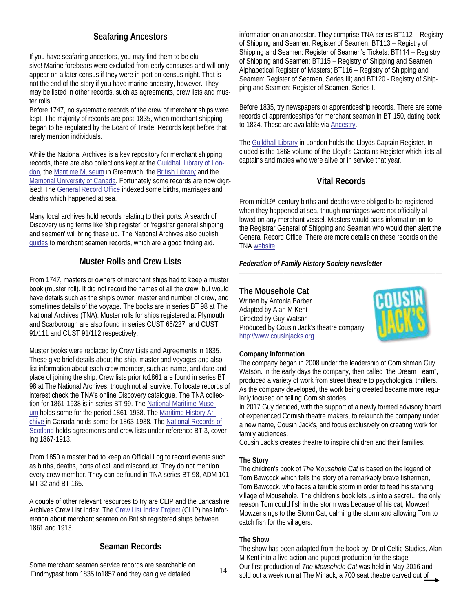## **Seafaring Ancestors**

If you have seafaring ancestors, you may find them to be elusive! Marine forebears were excluded from early censuses and will only appear on a later census if they were in port on census night. That is not the end of the story if you have marine ancestry, however. They may be listed in other records, such as agreements, crew lists and muster rolls.

Before 1747, no systematic records of the crew of merchant ships were kept. The majority of records are post-1835, when merchant shipping began to be regulated by the Board of Trade. Records kept before that rarely mention individuals.

While the National Archives is a key repository for merchant shipping records, there are also collections kept at the [Guildhall Library of Lon](https://www.cityoflondon.gov.uk/things-to-do/london-metropolitan-archives/visitor-information/Pages/archives-guildhall-library.aspx)[don,](https://www.cityoflondon.gov.uk/things-to-do/london-metropolitan-archives/visitor-information/Pages/archives-guildhall-library.aspx) the [Maritime Museum](http://collections.rmg.co.uk/archive.html#!asearch) in Greenwich, the [British Library](https://www.bl.uk/catalogues-and-collections) and the [Memorial University of Canada.](https://www.mun.ca/mha/) Fortunately some records are now digitised! The [General Record Office](https://www.gro.gov.uk/gro/content/) indexed some births, marriages and deaths which happened at sea.

Many local archives hold records relating to their ports. A search of Discovery using terms like 'ship register' or 'registrar general shipping and seamen' will bring these up. The National Archives also publish [guides](http://discovery.nationalarchives.gov.uk/) to merchant seamen records, which are a good finding aid.

#### **Muster Rolls and Crew Lists**

From 1747, masters or owners of merchant ships had to keep a muster book (muster roll). It did not record the names of all the crew, but would have details such as the ship's owner, master and number of crew, and sometimes details of the voyage. The books are in series BT 98 at [The](https://urldefense.proofpoint.com/v2/url?u=https-3A__ffhs.us11.list-2Dmanage.com_track_click-3Fu-3Dde0e864aeab489858df93c75f-26id-3Db07c89de6a-26e-3D1eb8083f23&d=DwMFaQ&c=nE__W8dFE-shTxStwXtp0A&r=Zfk7b_46swAEmC28Oc9cfw&m=XcsrtyWAizUsqbe2ltDdkSaW5iffJQdiDz4SHj)  [National Archives](https://urldefense.proofpoint.com/v2/url?u=https-3A__ffhs.us11.list-2Dmanage.com_track_click-3Fu-3Dde0e864aeab489858df93c75f-26id-3Db07c89de6a-26e-3D1eb8083f23&d=DwMFaQ&c=nE__W8dFE-shTxStwXtp0A&r=Zfk7b_46swAEmC28Oc9cfw&m=XcsrtyWAizUsqbe2ltDdkSaW5iffJQdiDz4SHj) (TNA). Muster rolls for ships registered at Plymouth and Scarborough are also found in series CUST 66/227, and CUST 91/111 and CUST 91/112 respectively.

Muster books were replaced by Crew Lists and Agreements in 1835. These give brief details about the ship, master and voyages and also list information about each crew member, such as name, and date and place of joining the ship. Crew lists prior to1861 are found in series BT 98 at The National Archives, though not all survive. To locate records of interest check the TNA's online Discovery catalogue. The TNA collection for 1861-1938 is in series BT 99. The [National Maritime Muse](http://collections.rmg.co.uk/archive.html#!asearch)[um](http://collections.rmg.co.uk/archive.html#!asearch) holds some for the period 1861-1938. The [Maritime History Ar](https://www.mun.ca/mha/)[chive](https://www.mun.ca/mha/) in Canada holds some for 1863-1938. The [National Records of](https://www.nrscotland.gov.uk/research/catalogues-and-indexes)  [Scotland](https://www.nrscotland.gov.uk/research/catalogues-and-indexes) holds agreements and crew lists under reference BT 3, covering 1867-1913.

From 1850 a master had to keep an Official Log to record events such as births, deaths, ports of call and misconduct. They do not mention every crew member. They can be found in TNA series BT 98, ADM 101, MT 32 and BT 165.

A couple of other relevant resources to try are CLIP and the Lancashire Archives Crew List Index. The [Crew List Index Project](http://archivecat.lancashire.gov.uk/CalmView/Record.aspx?src=CalmView.Catalog&id=SS%2F1) (CLIP) has information about merchant seamen on British registered ships between 1861 and 1913.

#### **Seaman Records**

Some merchant seamen service records are searchable on [Findmypast](https://urldefense.proofpoint.com/v2/url?u=https-3A__ffhs.us11.list-2Dmanage.com_track_click-3Fu-3Dde0e864aeab489858df93c75f-26id-3D4266dabc2a-26e-3D1eb8083f23&d=DwMFaQ&c=nE__W8dFE-shTxStwXtp0A&r=Zfk7b_46swAEmC28Oc9cfw&m=XcsrtyWAizUsqbe2ltDdkSaW5iffJQdiDz4SHj) from 1835 to 1857 and they can give detailed 14

information on an ancestor. They comprise TNA series BT112 – Registry of Shipping and Seamen: Register of Seamen; BT113 – Registry of Shipping and Seamen: Register of Seamen's Tickets; BT114 – Registry of Shipping and Seamen: BT115 – Registry of Shipping and Seamen: Alphabetical Register of Masters; BT116 – Registry of Shipping and Seamen: Register of Seamen, Series III; and BT120 - Registry of Shipping and Seamen: Register of Seamen, Series I.

Before 1835, try newspapers or apprenticeship records. There are some records of apprenticeships for merchant seaman in BT 150, dating back to 1824. These are available via [Ancestry.](https://search.ancestry.co.uk/search/db.aspx?dbid=60609)

The [Guildhall Library](https://www.cityoflondon.gov.uk/things-to-do/guildhall-library/collections/Pages/Maritime-history.aspx) in London holds the Lloyds Captain Register. Included is the 1868 volume of the Lloyd's Captains Register which lists all captains and mates who were alive or in service that year.

#### **Vital Records**

From mid19th century births and deaths were obliged to be registered when they happened at sea, though marriages were not officially allowed on any merchant vessel. Masters would pass information on to the Registrar General of Shipping and Seaman who would then alert the General Record Office. There are more details on these records on the TNA [website.](http://discovery.nationalarchives.gov.uk/details/r/C478)

*————————————————————————————————*

*Federation of Family History Society newsletter* 

**The Mousehole Cat** Written by Antonia Barber Adapted by Alan M Kent Directed by Guy Watson Produced by Cousin Jack's theatre company <http://www.cousinjacks.org>



#### **Company Information**

The company began in 2008 under the leadership of Cornishman Guy Watson. In the early days the company, then called "the Dream Team", produced a variety of work from street theatre to psychological thrillers. As the company developed, the work being created became more regularly focused on telling Cornish stories.

In 2017 Guy decided, with the support of a newly formed advisory board of experienced Cornish theatre makers, to relaunch the company under a new name, Cousin Jack's, and focus exclusively on creating work for family audiences.

Cousin Jack's creates theatre to inspire children and their families.

#### **The Story**

The children's book of *The Mousehole Cat* is based on the legend of Tom Bawcock which tells the story of a remarkably brave fisherman, Tom Bawcock, who faces a terrible storm in order to feed his starving village of Mousehole. The children's book lets us into a secret... the only reason Tom could fish in the storm was because of his cat, Mowzer! Mowzer sings to the Storm Cat, calming the storm and allowing Tom to catch fish for the villagers.

#### **The Show**

The show has been adapted from the book by, Dr of Celtic Studies, Alan M Kent into a live action and puppet production for the stage. Our first production of *The Mousehole Cat* was held in May 2016 and sold out a week run at The Minack, a 700 seat theatre carved out of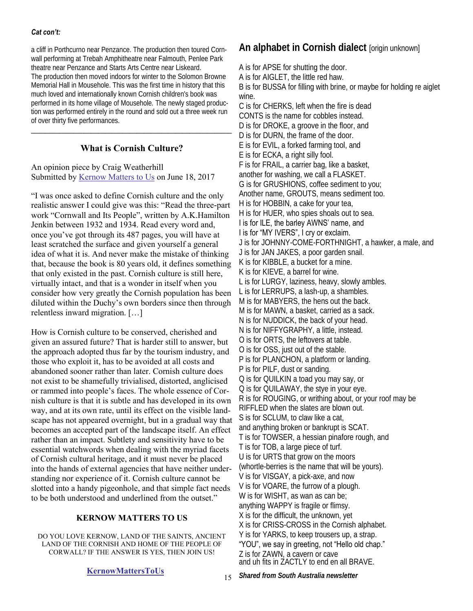#### *Cat con't:*

a cliff in Porthcurno near Penzance. The production then toured Cornwall performing at Trebah Amphitheatre near Falmouth, Penlee Park theatre near Penzance and Starts Arts Centre near Liskeard. The production then moved indoors for winter to the Solomon Browne Memorial Hall in Mousehole. This was the first time in history that this much loved and internationally known Cornish children's book was performed in its home village of Mousehole. The newly staged production was performed entirely in the round and sold out a three week run of over thirty five performances.

#### **What is Cornish Culture?**

\_\_\_\_\_\_\_\_\_\_\_\_\_\_\_\_\_\_\_\_\_\_\_\_\_\_\_\_\_\_\_\_\_\_\_\_\_\_\_\_\_\_\_\_\_\_\_\_\_\_\_\_\_\_\_\_\_

An opinion piece by Craig Weatherhill Submitted by [Kernow Matters to Us](https://kernowmatterstous.weebly.com/) on June 18, 2017

"I was once asked to define Cornish culture and the only realistic answer I could give was this: "Read the three-part work "Cornwall and Its People", written by A.K.Hamilton Jenkin between 1932 and 1934. Read every word and, once you've got through its 487 pages, you will have at least scratched the surface and given yourself a general idea of what it is. And never make the mistake of thinking that, because the book is 80 years old, it defines something that only existed in the past. Cornish culture is still here, virtually intact, and that is a wonder in itself when you consider how very greatly the Cornish population has been diluted within the Duchy's own borders since then through relentless inward migration. […]

How is Cornish culture to be conserved, cherished and given an assured future? That is harder still to answer, but the approach adopted thus far by the tourism industry, and those who exploit it, has to be avoided at all costs and abandoned sooner rather than later. Cornish culture does not exist to be shamefully trivialised, distorted, anglicised or rammed into people's faces. The whole essence of Cornish culture is that it is subtle and has developed in its own way, and at its own rate, until its effect on the visible landscape has not appeared overnight, but in a gradual way that becomes an accepted part of the landscape itself. An effect rather than an impact. Subtlety and sensitivity have to be essential watchwords when dealing with the myriad facets of Cornish cultural heritage, and it must never be placed into the hands of external agencies that have neither understanding nor experience of it. Cornish culture cannot be slotted into a handy pigeonhole, and that simple fact needs to be both understood and underlined from the outset."

#### **KERNOW MATTERS TO US**

DO YOU LOVE KERNOW, LAND OF THE SAINTS, ANCIENT LAND OF THE CORNISH AND HOME OF THE PEOPLE OF CORWALL? IF THE ANSWER IS YES, THEN JOIN US!

#### **[KernowMattersToUs](https://kernowmatterstous.weebly.com/)**

# **An alphabet in Cornish dialect** [origin unknown]

A is for APSE for shutting the door. A is for AIGLET, the little red haw. B is for BUSSA for filling with brine, or maybe for holding re aiglet wine. C is for CHERKS, left when the fire is dead CONTS is the name for cobbles instead. D is for DROKE, a groove in the floor, and D is for DURN, the frame of the door. E is for EVIL, a forked farming tool, and E is for ECKA, a right silly fool. F is for FRAIL, a carrier bag, like a basket, another for washing, we call a FLASKET. G is for GRUSHIONS, coffee sediment to you; Another name, GROUTS, means sediment too. H is for HOBBIN, a cake for your tea, H is for HUER, who spies shoals out to sea. I is for ILE, the barley AWNS' name, and I is for "MY IVERS", I cry or exclaim. J is for JOHNNY-COME-FORTHNIGHT, a hawker, a male, and J is for JAN JAKES, a poor garden snail. K is for KIBBLE, a bucket for a mine. K is for KIEVE, a barrel for wine. L is for LURGY, laziness, heavy, slowly ambles. L is for LERRUPS, a lash-up, a shambles. M is for MABYERS, the hens out the back. M is for MAWN, a basket, carried as a sack. N is for NUDDICK, the back of your head. N is for NIFFYGRAPHY, a little, instead. O is for ORTS, the leftovers at table. O is for OSS, just out of the stable. P is for PLANCHON, a platform or landing. P is for PILF, dust or sanding. Q is for QUILKIN a toad you may say, or Q is for QUILAWAY, the stye in your eye. R is for ROUGING, or writhing about, or your roof may be RIFFLED when the slates are blown out. S is for SCLUM, to claw like a cat,

and anything broken or bankrupt is SCAT.

T is for TOWSER, a hessian pinafore rough, and

T is for TOB, a large piece of turf.

U is for URTS that grow on the moors

(whortle-berries is the name that will be yours).

V is for VISGAY, a pick-axe, and now

V is for VOARE, the furrow of a plough.

W is for WISHT, as wan as can be;

anything WAPPY is fragile or flimsy.

X is for the difficult, the unknown, yet

X is for CRISS-CROSS in the Cornish alphabet.

Y is for YARKS, to keep trousers up, a strap. "YOU", we say in greeting, not "Hello old chap." Z is for ZAWN, a cavern or cave

and uh fits in ZACTLY to end en all BRAVE.

*Shared from South Australia newsletter* 15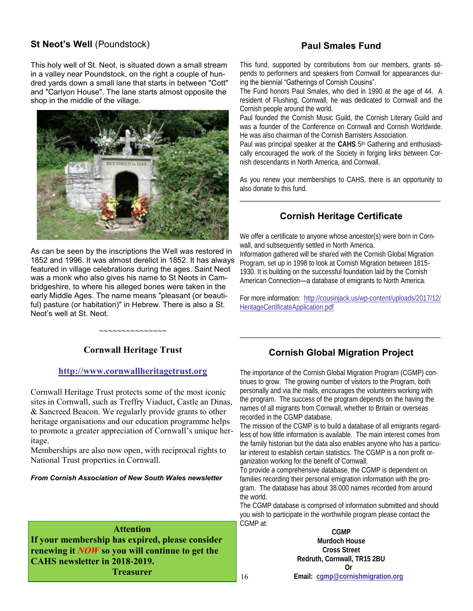#### **St Neot's Well (Poundstock)**

# **Paul Smales Fund**

This holy well of St. Neot, is situated down a small stream in a valley near Poundstock, on the right a couple of hundred yards down a small lane that starts in between "Cott" and "Carlyon House". The lane starts almost opposite the shop in the middle of the village.



As can be seen by the inscriptions the Well was restored in 1852 and 1996. It was almost derelict in 1852. It has always featured in village celebrations during the ages. Saint Neot was a monk who also gives his name to St Neots in Cambridgeshire, to where his alleged bones were taken in the early Middle Ages. The name means "pleasant (or beautiful) pasture (or habitation)" in Hebrew. There is also a St. Neot's well at St. Neot.

This fund, supported by contributions from our members, grants stipends to performers and speakers from Cornwall for appearances during the biennial "Gatherings of Cornish Cousins".

The Fund honors Paul Smales, who died in 1990 at the age of 44. A resident of Flushing, Cornwall, he was dedicated to Cornwall and the Cornish people around the world.

Paul founded the Cornish Music Guild, the Cornish Literary Guild and was a founder of the Conference on Cornwall and Cornish Worldwide. He was also chairman of the Cornish Barristers Association.

Paul was principal speaker at the CAHS 5<sup>th</sup> Gathering and enthusiastically encouraged the work of the Society in forging links between Cornish descendants in North America, and Cornwall.

As you renew your memberships to CAHS, there is an opportunity to also donate to this fund. \_\_\_\_\_\_\_\_\_\_\_\_\_\_\_\_\_\_\_\_\_\_\_\_\_\_\_\_\_\_\_\_\_\_\_\_\_\_\_\_\_\_\_\_\_\_\_\_\_\_\_\_\_\_\_\_\_

# **Cornish Heritage Certificate**

We offer a certificate to anyone whose ancestor(s) were born in Cornwall, and subsequently settled in North America. Information gathered will be shared with the Cornish Global Migration Program, set up in 1998 to look at Cornish Migration between 1815- 1930. It is building on the successful foundation laid by the Cornish American Connection—a database of emigrants to North America.

For more information: [http://cousinjack.us/wp-content/uploads/2017/12/](http://cousinjack.us/wp-content/uploads/2017/12/HeritageCertificateApplication.pdf) [HeritageCertificateApplication.pdf](http://cousinjack.us/wp-content/uploads/2017/12/HeritageCertificateApplication.pdf)

#### **Cornwall Heritage Trust**

~~~~~~~~~~~~~~~

#### **<http://www.cornwallheritagetrust.org>**

Cornwall Heritage Trust protects some of the most iconic sites in Cornwall, such as Treffry Viaduct, Castle an Dinas, & Sancreed Beacon. We regularly provide grants to other heritage organisations and our education programme helps to promote a greater appreciation of Cornwall's unique heritage.

Memberships are also now open, with reciprocal rights to National Trust properties in Cornwall.

#### *From Cornish Association of New South Wales newsletter*

**Attention If your membership has expired, please consider renewing it** *NOW* **so you will continue to get the CAHS newsletter in 2018-2019. Treasurer**

#### **Cornish Global Migration Project**

\_\_\_\_\_\_\_\_\_\_\_\_\_\_\_\_\_\_\_\_\_\_\_\_\_\_\_\_\_\_\_\_\_\_\_\_\_\_\_\_\_\_\_\_\_\_\_\_\_\_\_\_\_\_\_\_\_

The importance of the Cornish Global Migration Program (CGMP) continues to grow. The growing number of visitors to the Program, both personally and via the mails, encourages the volunteers working with the program. The success of the program depends on the having the names of all migrants from Cornwall, whether to Britain or overseas recorded in the CGMP database.

The mission of the CGMP is to build a database of all emigrants regardless of how little information is available. The main interest comes from the family historian but the data also enables anyone who has a particular interest to establish certain statistics. The CGMP is a non profit organization working for the benefit of Cornwall.

To provide a comprehensive database, the CGMP is dependent on families recording their personal emigration information with the program. The database has about 38.000 names recorded from around the world.

The CGMP database is comprised of information submitted and should you wish to participate in the worthwhile program please contact the CGMP at:

**CGMP Murdoch House Cross Street Redruth, Cornwall, TR15 2BU Or** 16 **Email: [cgmp@cornishmigration.org](mailto:cgmp@cornishmigration.org)**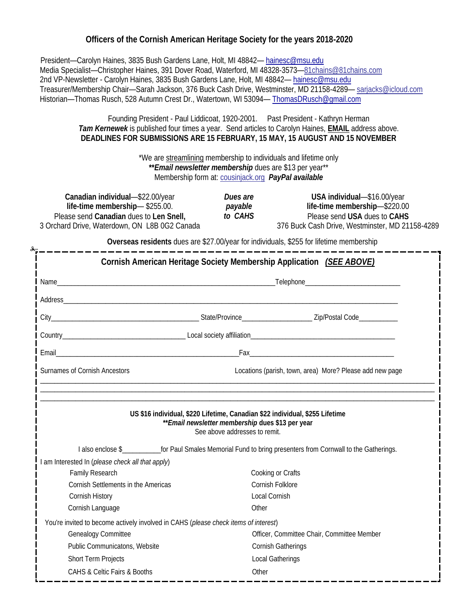#### **Officers of the Cornish American Heritage Society for the years 2018-2020**

 President—Carolyn Haines, 3835 Bush Gardens Lane, Holt, MI 48842— [hainesc@msu.edu](mailto:hainesc@msu.edu) Media Specialist—Christopher Haines, 391 Dover Road, Waterford, MI 48328-3573—[81chains@81chains.com](mailto:81chains@81chains.com) 2nd VP-Newsletter - Carolyn Haines, 3835 Bush Gardens Lane, Holt, MI 48842-[hainesc@msu.edu](mailto:hainesc@msu.edu) Treasurer/Membership Chair—Sarah Jackson, 376 Buck Cash Drive, Westminster, MD 21158-4289— [sarjacks@icloud.com](mailto:sarjacks@icloud.com) Historian—Thomas Rusch, 528 Autumn Crest Dr., Watertown, WI 53094— [ThomasDRusch@gmail.com](mailto:ThomasDRusch@gmail.com)

> Founding President - Paul Liddicoat, 1920-2001. Past President - Kathryn Herman *Tam Kernewek* is published four times a year. Send articles to Carolyn Haines, **EMAIL** address above. **DEADLINES FOR SUBMISSIONS ARE 15 FEBRUARY, 15 MAY, 15 AUGUST AND 15 NOVEMBER**

> > \*We are streamlining membership to individuals and lifetime only **\*\****Email newsletter membership* dues are \$13 per year\*\* Membership form at: [cousinjack.org](http://www.cousinjack.org/) *PayPal available*

| Canadian individual-\$22.00/year              | Dues are | USA individual-\$16.00/year                     |
|-----------------------------------------------|----------|-------------------------------------------------|
| life-time membership—\$255.00.                | payable  | life-time membership—\$220.00                   |
| Please send Canadian dues to Len Snell,       | to CAHS  | Please send USA dues to CAHS                    |
| 3 Orchard Drive, Waterdown, ON L8B 0G2 Canada |          | 376 Buck Cash Drive, Westminster, MD 21158-4289 |

**Overseas residents** dues are \$27.00/year for individuals, \$255 for lifetime membership

|                                                                                     |       | Cornish American Heritage Society Membership Application (SEE ABOVE)                                                                                                                                                                 |  |
|-------------------------------------------------------------------------------------|-------|--------------------------------------------------------------------------------------------------------------------------------------------------------------------------------------------------------------------------------------|--|
|                                                                                     |       |                                                                                                                                                                                                                                      |  |
|                                                                                     |       |                                                                                                                                                                                                                                      |  |
|                                                                                     |       |                                                                                                                                                                                                                                      |  |
|                                                                                     |       |                                                                                                                                                                                                                                      |  |
|                                                                                     |       | Email Fax <b>For the Contract of the Contract of the Contract of the Contract of the Contract of the Contract of the Contract of the Contract of the Contract of the Contract of the Contract of the Contract of the Contract of</b> |  |
| Surnames of Cornish Ancestors                                                       |       | Locations (parish, town, area) More? Please add new page                                                                                                                                                                             |  |
|                                                                                     |       | I also enclose \$<br><u> for Paul Smales Memorial Fund to bring presenters from Cornwall to the Gatherings.</u>                                                                                                                      |  |
| am Interested In (please check all that apply)                                      |       |                                                                                                                                                                                                                                      |  |
| Family Research                                                                     |       | Cooking or Crafts                                                                                                                                                                                                                    |  |
| Cornish Settlements in the Americas                                                 |       | Cornish Folklore                                                                                                                                                                                                                     |  |
| Cornish History                                                                     |       | Local Cornish                                                                                                                                                                                                                        |  |
| Cornish Language                                                                    | Other |                                                                                                                                                                                                                                      |  |
| You're invited to become actively involved in CAHS (please check items of interest) |       |                                                                                                                                                                                                                                      |  |
| Genealogy Committee                                                                 |       | Officer, Committee Chair, Committee Member                                                                                                                                                                                           |  |
| Public Communicatons, Website                                                       |       | Cornish Gatherings                                                                                                                                                                                                                   |  |
| Short Term Projects                                                                 |       | Local Gatherings                                                                                                                                                                                                                     |  |
| CAHS & Celtic Fairs & Booths                                                        |       | Other                                                                                                                                                                                                                                |  |
|                                                                                     |       |                                                                                                                                                                                                                                      |  |